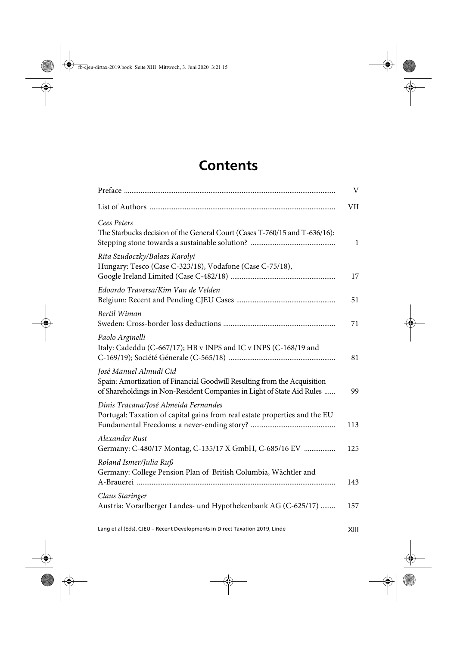## **Contents**

|                                                                                                                                                                              | V            |
|------------------------------------------------------------------------------------------------------------------------------------------------------------------------------|--------------|
|                                                                                                                                                                              | VII          |
| Cees Peters<br>The Starbucks decision of the General Court (Cases T-760/15 and T-636/16):                                                                                    | $\mathbf{1}$ |
| Rita Szudoczky/Balazs Karolyi<br>Hungary: Tesco (Case C-323/18), Vodafone (Case C-75/18),                                                                                    | 17           |
| Edoardo Traversa/Kim Van de Velden                                                                                                                                           | 51           |
| Bertil Wiman                                                                                                                                                                 | 71           |
| Paolo Arginelli<br>Italy: Cadeddu (C-667/17); HB v INPS and IC v INPS (C-168/19 and                                                                                          | 81           |
| José Manuel Almudí Cid<br>Spain: Amortization of Financial Goodwill Resulting from the Acquisition<br>of Shareholdings in Non-Resident Companies in Light of State Aid Rules | 99           |
| Dinis Tracana/José Almeida Fernandes<br>Portugal: Taxation of capital gains from real estate properties and the EU                                                           | 113          |
| Alexander Rust<br>Germany: C-480/17 Montag, C-135/17 X GmbH, C-685/16 EV                                                                                                     | 125          |
| Roland Ismer/Julia Ruß<br>Germany: College Pension Plan of British Columbia, Wächtler and                                                                                    | 143          |
| Claus Staringer<br>Austria: Vorarlberger Landes- und Hypothekenbank AG (C-625/17)                                                                                            | 157          |

Lang et al (Eds), CJEU – Recent Developments in Direct Taxation 2019, Linde XIII